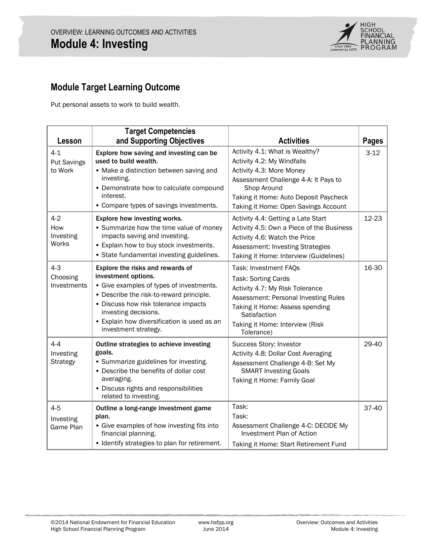

# **Module Target Learning Outcome**

Put personal assets to work to build wealth.

| Lesson                                  | <b>Target Competencies</b><br>and Supporting Objectives                                                                                                                                                                                                                                | <b>Activities</b>                                                                                                                                                                                                                  | <b>Pages</b> |
|-----------------------------------------|----------------------------------------------------------------------------------------------------------------------------------------------------------------------------------------------------------------------------------------------------------------------------------------|------------------------------------------------------------------------------------------------------------------------------------------------------------------------------------------------------------------------------------|--------------|
| $4 - 1$<br>Put Savings<br>to Work       | Explore how saving and investing can be<br>used to build wealth.<br>• Make a distinction between saving and<br>investing.<br>• Demonstrate how to calculate compound<br>interest.<br>• Compare types of savings investments.                                                           | Activity 4.1: What is Wealthy?<br>Activity 4.2: My Windfalls<br>Activity 4.3: More Money<br>Assessment Challenge 4-A: It Pays to<br>Shop Around<br>Taking it Home: Auto Deposit Paycheck<br>Taking it Home: Open Savings Account   | $3-12$       |
| $4 - 2$<br>How<br>Investing<br>Works    | Explore how investing works.<br>• Summarize how the time value of money<br>impacts saving and investing.<br>. Explain how to buy stock investments.<br>• State fundamental investing guidelines.                                                                                       | Activity 4.4: Getting a Late Start<br>Activity 4.5: Own a Piece of the Business<br>Activity 4.6: Watch the Price<br><b>Assessment: Investing Strategies</b><br>Taking it Home: Interview (Guidelines)                              | 12-23        |
| $4 - 3$<br>Choosing<br>Investments      | Explore the risks and rewards of<br>investment options.<br>• Give examples of types of investments.<br>• Describe the risk-to-reward principle.<br>· Discuss how risk tolerance impacts<br>investing decisions.<br>• Explain how diversification is used as an<br>investment strategy. | Task: Investment FAQs<br><b>Task: Sorting Cards</b><br>Activity 4.7: My Risk Tolerance<br>Assessment: Personal Investing Rules<br>Taking it Home: Assess spending<br>Satisfaction<br>Taking it Home: Interview (Risk<br>Tolerance) | 16-30        |
| $4 - 4$<br>Investing<br><b>Strategy</b> | Outline strategies to achieve investing<br>goals.<br>• Summarize guidelines for investing.<br>• Describe the benefits of dollar cost<br>averaging.<br>· Discuss rights and responsibilities<br>related to investing.                                                                   | Success Story: Investor<br>Activity 4.8: Dollar Cost Averaging<br>Assessment Challenge 4-B: Set My<br><b>SMART Investing Goals</b><br>Taking it Home: Family Goal                                                                  | 29-40        |
| $4 - 5$<br>Investing<br>Game Plan       | Outline a long-range investment game<br>plan.<br>• Give examples of how investing fits into<br>financial planning.<br>· Identify strategies to plan for retirement.                                                                                                                    | Task:<br>Task:<br>Assessment Challenge 4-C: DECIDE My<br>Investment Plan of Action<br>Taking it Home: Start Retirement Fund                                                                                                        | 37-40        |